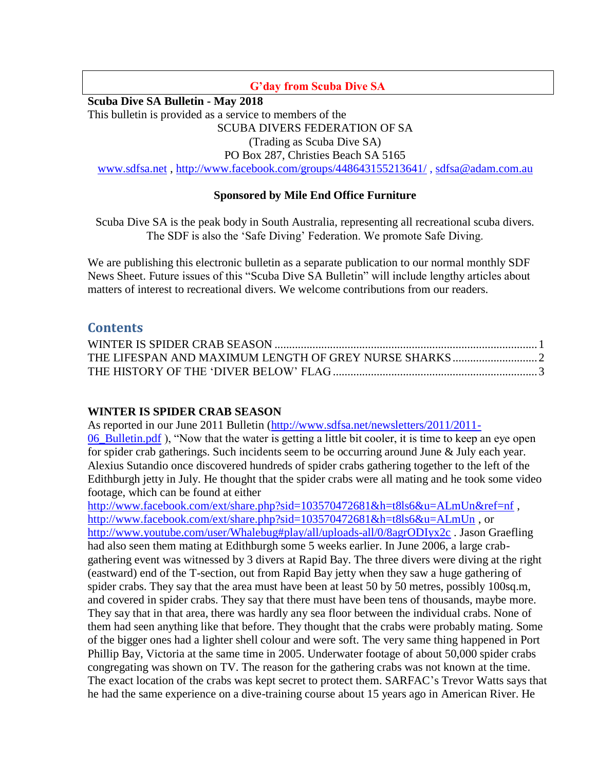### **G'day from Scuba Dive SA**

**Scuba Dive SA Bulletin - May 2018**

This bulletin is provided as a service to members of the

SCUBA DIVERS FEDERATION OF SA

(Trading as Scuba Dive SA)

PO Box 287, Christies Beach SA 5165

[www.sdfsa.net](http://www.sdfsa.net/) ,<http://www.facebook.com/groups/448643155213641/> , [sdfsa@adam.com.au](mailto:sdfsa@adam.com.au)

## **Sponsored by Mile End Office Furniture**

Scuba Dive SA is the peak body in South Australia, representing all recreational scuba divers. The SDF is also the 'Safe Diving' Federation. We promote Safe Diving.

We are publishing this electronic bulletin as a separate publication to our normal monthly SDF News Sheet. Future issues of this "Scuba Dive SA Bulletin" will include lengthy articles about matters of interest to recreational divers. We welcome contributions from our readers.

# **Contents**

## <span id="page-0-0"></span>**WINTER IS SPIDER CRAB SEASON**

As reported in our June 2011 Bulletin [\(http://www.sdfsa.net/newsletters/2011/2011-](http://www.sdfsa.net/newsletters/2011/2011-06_Bulletin.pdf) [06\\_Bulletin.pdf](http://www.sdfsa.net/newsletters/2011/2011-06_Bulletin.pdf) ), "Now that the water is getting a little bit cooler, it is time to keep an eye open for spider crab gatherings. Such incidents seem to be occurring around June & July each year. Alexius Sutandio once discovered hundreds of spider crabs gathering together to the left of the Edithburgh jetty in July. He thought that the spider crabs were all mating and he took some video footage, which can be found at either

<http://www.facebook.com/ext/share.php?sid=103570472681&h=t8ls6&u=ALmUn&ref=nf>, <http://www.facebook.com/ext/share.php?sid=103570472681&h=t8ls6&u=ALmUn> , or <http://www.youtube.com/user/Whalebug#play/all/uploads-all/0/8agrODIyx2c> . Jason Graefling had also seen them mating at Edithburgh some 5 weeks earlier. In June 2006, a large crabgathering event was witnessed by 3 divers at Rapid Bay. The three divers were diving at the right (eastward) end of the T-section, out from Rapid Bay jetty when they saw a huge gathering of spider crabs. They say that the area must have been at least 50 by 50 metres, possibly 100sq.m, and covered in spider crabs. They say that there must have been tens of thousands, maybe more. They say that in that area, there was hardly any sea floor between the individual crabs. None of them had seen anything like that before. They thought that the crabs were probably mating. Some of the bigger ones had a lighter shell colour and were soft. The very same thing happened in Port Phillip Bay, Victoria at the same time in 2005. Underwater footage of about 50,000 spider crabs congregating was shown on TV. The reason for the gathering crabs was not known at the time. The exact location of the crabs was kept secret to protect them. SARFAC's Trevor Watts says that he had the same experience on a dive-training course about 15 years ago in American River. He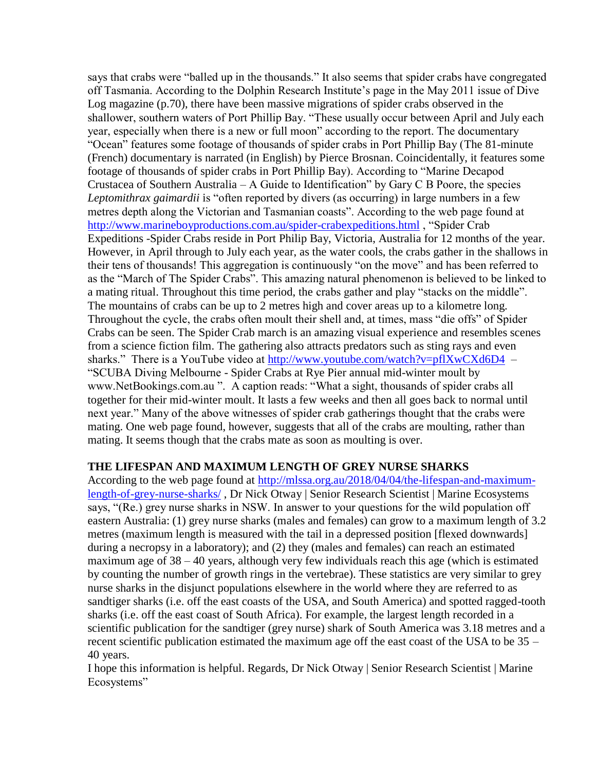says that crabs were "balled up in the thousands." It also seems that spider crabs have congregated off Tasmania. According to the Dolphin Research Institute's page in the May 2011 issue of Dive Log magazine (p.70), there have been massive migrations of spider crabs observed in the shallower, southern waters of Port Phillip Bay. "These usually occur between April and July each year, especially when there is a new or full moon" according to the report. The documentary "Ocean" features some footage of thousands of spider crabs in Port Phillip Bay (The 81-minute (French) documentary is narrated (in English) by Pierce Brosnan. Coincidentally, it features some footage of thousands of spider crabs in Port Phillip Bay). According to "Marine Decapod Crustacea of Southern Australia – A Guide to Identification" by Gary C B Poore, the species *Leptomithrax gaimardii* is "often reported by divers (as occurring) in large numbers in a few metres depth along the Victorian and Tasmanian coasts". According to the web page found at <http://www.marineboyproductions.com.au/spider-crabexpeditions.html> , "Spider Crab Expeditions -Spider Crabs reside in Port Philip Bay, Victoria, Australia for 12 months of the year. However, in April through to July each year, as the water cools, the crabs gather in the shallows in their tens of thousands! This aggregation is continuously "on the move" and has been referred to as the "March of The Spider Crabs". This amazing natural phenomenon is believed to be linked to a mating ritual. Throughout this time period, the crabs gather and play "stacks on the middle". The mountains of crabs can be up to 2 metres high and cover areas up to a kilometre long. Throughout the cycle, the crabs often moult their shell and, at times, mass "die offs" of Spider Crabs can be seen. The Spider Crab march is an amazing visual experience and resembles scenes from a science fiction film. The gathering also attracts predators such as sting rays and even sharks." There is a YouTube video at<http://www.youtube.com/watch?v=pflXwCXd6D4>– "SCUBA Diving Melbourne - Spider Crabs at Rye Pier annual mid-winter moult by www.NetBookings.com.au ". A caption reads: "What a sight, thousands of spider crabs all together for their mid-winter moult. It lasts a few weeks and then all goes back to normal until next year." Many of the above witnesses of spider crab gatherings thought that the crabs were mating. One web page found, however, suggests that all of the crabs are moulting, rather than mating. It seems though that the crabs mate as soon as moulting is over.

#### <span id="page-1-0"></span>**THE LIFESPAN AND MAXIMUM LENGTH OF GREY NURSE SHARKS**

According to the web page found at [http://mlssa.org.au/2018/04/04/the-lifespan-and-maximum](http://mlssa.org.au/2018/04/04/the-lifespan-and-maximum-length-of-grey-nurse-sharks/)[length-of-grey-nurse-sharks/](http://mlssa.org.au/2018/04/04/the-lifespan-and-maximum-length-of-grey-nurse-sharks/) , Dr Nick Otway | Senior Research Scientist | Marine Ecosystems says, "(Re.) grey nurse sharks in NSW. In answer to your questions for the wild population off eastern Australia: (1) grey nurse sharks (males and females) can grow to a maximum length of 3.2 metres (maximum length is measured with the tail in a depressed position [flexed downwards] during a necropsy in a laboratory); and (2) they (males and females) can reach an estimated maximum age of 38 – 40 years, although very few individuals reach this age (which is estimated by counting the number of growth rings in the vertebrae). These statistics are very similar to grey nurse sharks in the disjunct populations elsewhere in the world where they are referred to as sandtiger sharks (i.e. off the east coasts of the USA, and South America) and spotted ragged-tooth sharks (i.e. off the east coast of South Africa). For example, the largest length recorded in a scientific publication for the sandtiger (grey nurse) shark of South America was 3.18 metres and a recent scientific publication estimated the maximum age off the east coast of the USA to be 35 – 40 years.

I hope this information is helpful. Regards, Dr Nick Otway | Senior Research Scientist | Marine Ecosystems"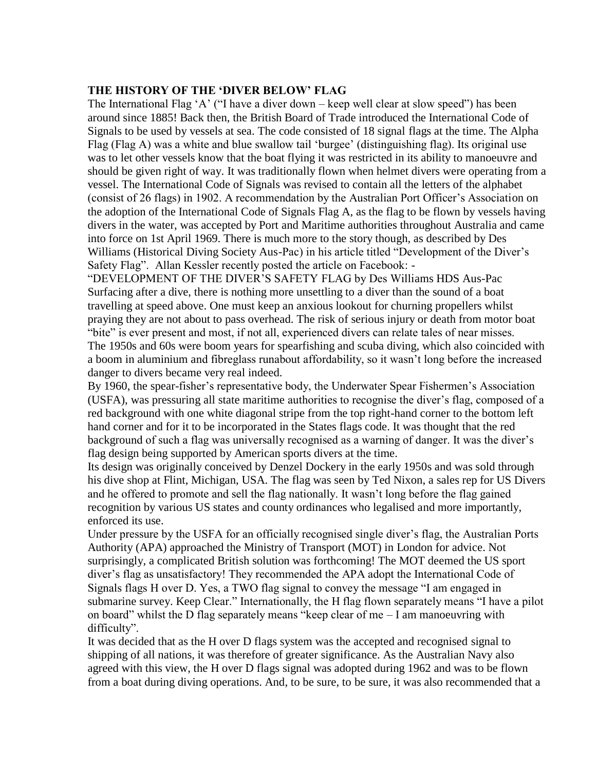#### <span id="page-2-0"></span>**THE HISTORY OF THE 'DIVER BELOW' FLAG**

The International Flag 'A' ("I have a diver down – keep well clear at slow speed") has been around since 1885! Back then, the British Board of Trade introduced the International Code of Signals to be used by vessels at sea. The code consisted of 18 signal flags at the time. The Alpha Flag (Flag A) was a white and blue swallow tail 'burgee' (distinguishing flag). Its original use was to let other vessels know that the boat flying it was restricted in its ability to manoeuvre and should be given right of way. It was traditionally flown when helmet divers were operating from a vessel. The International Code of Signals was revised to contain all the letters of the alphabet (consist of 26 flags) in 1902. A recommendation by the Australian Port Officer's Association on the adoption of the International Code of Signals Flag A, as the flag to be flown by vessels having divers in the water, was accepted by Port and Maritime authorities throughout Australia and came into force on 1st April 1969. There is much more to the story though, as described by Des Williams (Historical Diving Society Aus-Pac) in his article titled "Development of the Diver's Safety Flag". Allan Kessler recently posted the article on Facebook: -

"DEVELOPMENT OF THE DIVER'S SAFETY FLAG by Des Williams HDS Aus-Pac Surfacing after a dive, there is nothing more unsettling to a diver than the sound of a boat travelling at speed above. One must keep an anxious lookout for churning propellers whilst praying they are not about to pass overhead. The risk of serious injury or death from motor boat "bite" is ever present and most, if not all, experienced divers can relate tales of near misses. The 1950s and 60s were boom years for spearfishing and scuba diving, which also coincided with a boom in aluminium and fibreglass runabout affordability, so it wasn't long before the increased danger to divers became very real indeed.

By 1960, the spear-fisher's representative body, the Underwater Spear Fishermen's Association (USFA), was pressuring all state maritime authorities to recognise the diver's flag, composed of a red background with one white diagonal stripe from the top right-hand corner to the bottom left hand corner and for it to be incorporated in the States flags code. It was thought that the red background of such a flag was universally recognised as a warning of danger. It was the diver's flag design being supported by American sports divers at the time.

Its design was originally conceived by Denzel Dockery in the early 1950s and was sold through his dive shop at Flint, Michigan, USA. The flag was seen by Ted Nixon, a sales rep for US Divers and he offered to promote and sell the flag nationally. It wasn't long before the flag gained recognition by various US states and county ordinances who legalised and more importantly, enforced its use.

Under pressure by the USFA for an officially recognised single diver's flag, the Australian Ports Authority (APA) approached the Ministry of Transport (MOT) in London for advice. Not surprisingly, a complicated British solution was forthcoming! The MOT deemed the US sport diver's flag as unsatisfactory! They recommended the APA adopt the International Code of Signals flags H over D. Yes, a TWO flag signal to convey the message "I am engaged in submarine survey. Keep Clear." Internationally, the H flag flown separately means "I have a pilot on board" whilst the D flag separately means "keep clear of me  $-1$  am manoeuvring with difficulty".

It was decided that as the H over D flags system was the accepted and recognised signal to shipping of all nations, it was therefore of greater significance. As the Australian Navy also agreed with this view, the H over D flags signal was adopted during 1962 and was to be flown from a boat during diving operations. And, to be sure, to be sure, it was also recommended that a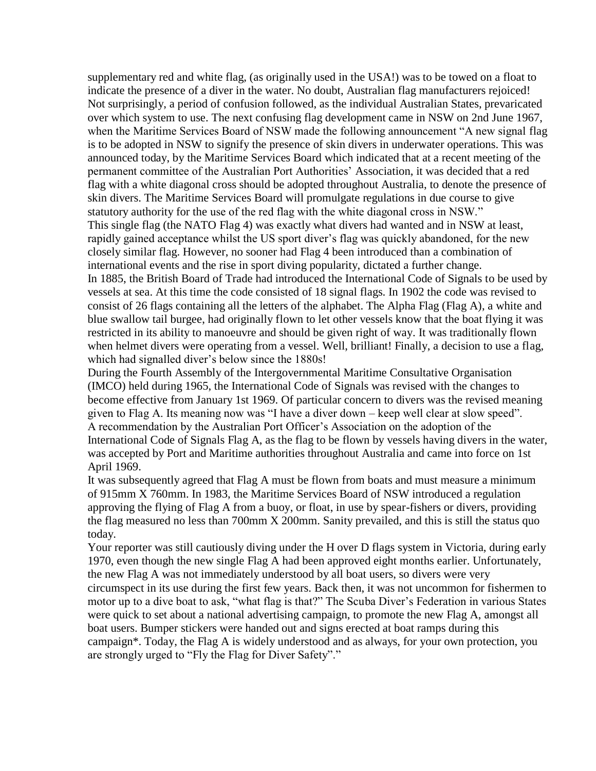supplementary red and white flag, (as originally used in the USA!) was to be towed on a float to indicate the presence of a diver in the water. No doubt, Australian flag manufacturers rejoiced! Not surprisingly, a period of confusion followed, as the individual Australian States, prevaricated over which system to use. The next confusing flag development came in NSW on 2nd June 1967, when the Maritime Services Board of NSW made the following announcement "A new signal flag is to be adopted in NSW to signify the presence of skin divers in underwater operations. This was announced today, by the Maritime Services Board which indicated that at a recent meeting of the permanent committee of the Australian Port Authorities' Association, it was decided that a red flag with a white diagonal cross should be adopted throughout Australia, to denote the presence of skin divers. The Maritime Services Board will promulgate regulations in due course to give statutory authority for the use of the red flag with the white diagonal cross in NSW." This single flag (the NATO Flag 4) was exactly what divers had wanted and in NSW at least, rapidly gained acceptance whilst the US sport diver's flag was quickly abandoned, for the new closely similar flag. However, no sooner had Flag 4 been introduced than a combination of international events and the rise in sport diving popularity, dictated a further change. In 1885, the British Board of Trade had introduced the International Code of Signals to be used by vessels at sea. At this time the code consisted of 18 signal flags. In 1902 the code was revised to consist of 26 flags containing all the letters of the alphabet. The Alpha Flag (Flag A), a white and blue swallow tail burgee, had originally flown to let other vessels know that the boat flying it was restricted in its ability to manoeuvre and should be given right of way. It was traditionally flown when helmet divers were operating from a vessel. Well, brilliant! Finally, a decision to use a flag, which had signalled diver's below since the 1880s!

During the Fourth Assembly of the Intergovernmental Maritime Consultative Organisation (IMCO) held during 1965, the International Code of Signals was revised with the changes to become effective from January 1st 1969. Of particular concern to divers was the revised meaning given to Flag A. Its meaning now was "I have a diver down – keep well clear at slow speed". A recommendation by the Australian Port Officer's Association on the adoption of the International Code of Signals Flag A, as the flag to be flown by vessels having divers in the water, was accepted by Port and Maritime authorities throughout Australia and came into force on 1st April 1969.

It was subsequently agreed that Flag A must be flown from boats and must measure a minimum of 915mm X 760mm. In 1983, the Maritime Services Board of NSW introduced a regulation approving the flying of Flag A from a buoy, or float, in use by spear-fishers or divers, providing the flag measured no less than 700mm X 200mm. Sanity prevailed, and this is still the status quo today.

Your reporter was still cautiously diving under the H over D flags system in Victoria, during early 1970, even though the new single Flag A had been approved eight months earlier. Unfortunately, the new Flag A was not immediately understood by all boat users, so divers were very circumspect in its use during the first few years. Back then, it was not uncommon for fishermen to motor up to a dive boat to ask, "what flag is that?" The Scuba Diver's Federation in various States were quick to set about a national advertising campaign, to promote the new Flag A, amongst all boat users. Bumper stickers were handed out and signs erected at boat ramps during this campaign\*. Today, the Flag A is widely understood and as always, for your own protection, you are strongly urged to "Fly the Flag for Diver Safety"."